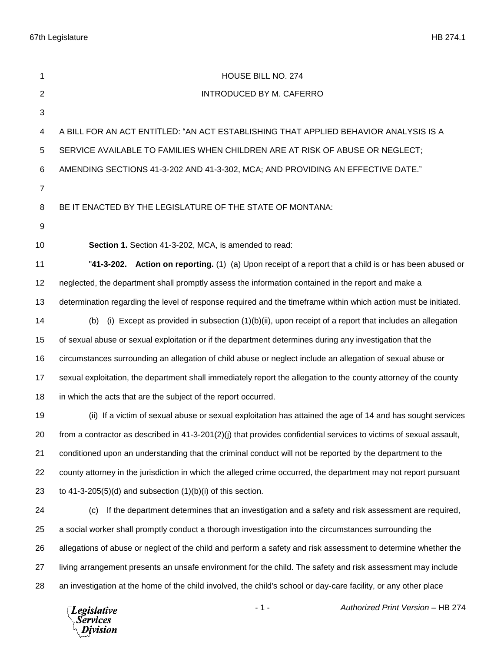67th Legislature HB 274.1

| 1              | HOUSE BILL NO. 274                                                                                                 |
|----------------|--------------------------------------------------------------------------------------------------------------------|
| $\overline{2}$ | INTRODUCED BY M. CAFERRO                                                                                           |
| 3              |                                                                                                                    |
| 4              | A BILL FOR AN ACT ENTITLED: "AN ACT ESTABLISHING THAT APPLIED BEHAVIOR ANALYSIS IS A                               |
| 5              | SERVICE AVAILABLE TO FAMILIES WHEN CHILDREN ARE AT RISK OF ABUSE OR NEGLECT;                                       |
| 6              | AMENDING SECTIONS 41-3-202 AND 41-3-302, MCA; AND PROVIDING AN EFFECTIVE DATE."                                    |
| $\overline{7}$ |                                                                                                                    |
| 8              | BE IT ENACTED BY THE LEGISLATURE OF THE STATE OF MONTANA:                                                          |
| 9              |                                                                                                                    |
| 10             | Section 1. Section 41-3-202, MCA, is amended to read:                                                              |
| 11             | "41-3-202. Action on reporting. (1) (a) Upon receipt of a report that a child is or has been abused or             |
| 12             | neglected, the department shall promptly assess the information contained in the report and make a                 |
| 13             | determination regarding the level of response required and the timeframe within which action must be initiated.    |
| 14             | (i) Except as provided in subsection $(1)(b)(ii)$ , upon receipt of a report that includes an allegation<br>(b)    |
| 15             | of sexual abuse or sexual exploitation or if the department determines during any investigation that the           |
| 16             | circumstances surrounding an allegation of child abuse or neglect include an allegation of sexual abuse or         |
| 17             | sexual exploitation, the department shall immediately report the allegation to the county attorney of the county   |
| 18             | in which the acts that are the subject of the report occurred.                                                     |
| 19             | (ii) If a victim of sexual abuse or sexual exploitation has attained the age of 14 and has sought services         |
| 20             | from a contractor as described in 41-3-201(2)(j) that provides confidential services to victims of sexual assault, |
| 21             | conditioned upon an understanding that the criminal conduct will not be reported by the department to the          |
| 22             | county attorney in the jurisdiction in which the alleged crime occurred, the department may not report pursuant    |
| 23             | to 41-3-205(5)(d) and subsection $(1)(b)(i)$ of this section.                                                      |
| 24             | If the department determines that an investigation and a safety and risk assessment are required,<br>(c)           |
| 25             | a social worker shall promptly conduct a thorough investigation into the circumstances surrounding the             |
| 26             | allegations of abuse or neglect of the child and perform a safety and risk assessment to determine whether the     |
| 27             | living arrangement presents an unsafe environment for the child. The safety and risk assessment may include        |
| 28             | an investigation at the home of the child involved, the child's school or day-care facility, or any other place    |
|                | $-1-$<br>Authorized Print Version - HB 274<br>Legislative<br><b>Services</b><br>Division                           |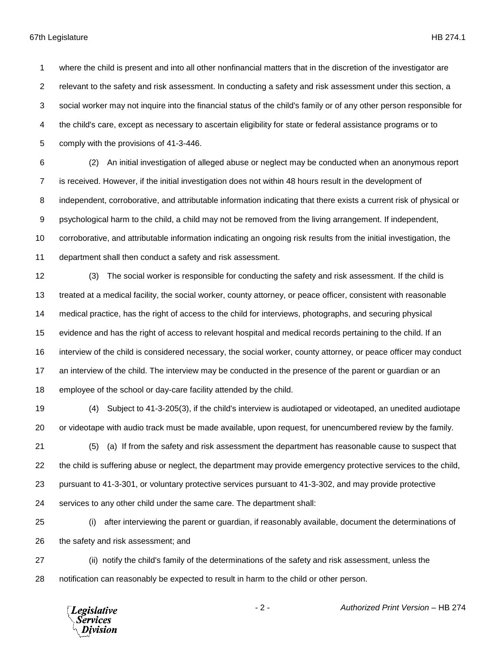where the child is present and into all other nonfinancial matters that in the discretion of the investigator are relevant to the safety and risk assessment. In conducting a safety and risk assessment under this section, a social worker may not inquire into the financial status of the child's family or of any other person responsible for the child's care, except as necessary to ascertain eligibility for state or federal assistance programs or to comply with the provisions of 41-3-446.

 (2) An initial investigation of alleged abuse or neglect may be conducted when an anonymous report is received. However, if the initial investigation does not within 48 hours result in the development of independent, corroborative, and attributable information indicating that there exists a current risk of physical or psychological harm to the child, a child may not be removed from the living arrangement. If independent, corroborative, and attributable information indicating an ongoing risk results from the initial investigation, the department shall then conduct a safety and risk assessment.

 (3) The social worker is responsible for conducting the safety and risk assessment. If the child is treated at a medical facility, the social worker, county attorney, or peace officer, consistent with reasonable medical practice, has the right of access to the child for interviews, photographs, and securing physical evidence and has the right of access to relevant hospital and medical records pertaining to the child. If an interview of the child is considered necessary, the social worker, county attorney, or peace officer may conduct an interview of the child. The interview may be conducted in the presence of the parent or guardian or an employee of the school or day-care facility attended by the child.

 (4) Subject to 41-3-205(3), if the child's interview is audiotaped or videotaped, an unedited audiotape or videotape with audio track must be made available, upon request, for unencumbered review by the family.

 (5) (a) If from the safety and risk assessment the department has reasonable cause to suspect that the child is suffering abuse or neglect, the department may provide emergency protective services to the child, pursuant to 41-3-301, or voluntary protective services pursuant to 41-3-302, and may provide protective services to any other child under the same care. The department shall:

 (i) after interviewing the parent or guardian, if reasonably available, document the determinations of the safety and risk assessment; and

 (ii) notify the child's family of the determinations of the safety and risk assessment, unless the notification can reasonably be expected to result in harm to the child or other person.



- 2 - *Authorized Print Version* – HB 274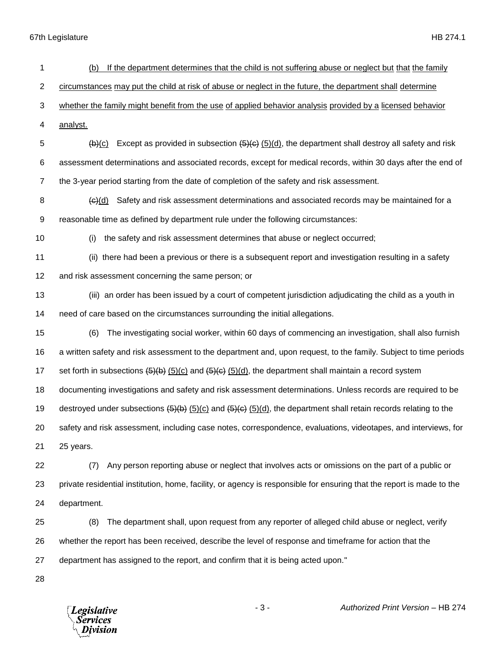67th Legislature HB 274.1

| 1                | If the department determines that the child is not suffering abuse or neglect but that the family<br>(b)              |
|------------------|-----------------------------------------------------------------------------------------------------------------------|
| $\overline{c}$   | circumstances may put the child at risk of abuse or neglect in the future, the department shall determine             |
| 3                | whether the family might benefit from the use of applied behavior analysis provided by a licensed behavior            |
| 4                | analyst.                                                                                                              |
| 5                | Except as provided in subsection $(5)(d)$ , the department shall destroy all safety and risk<br>(b)(c)                |
| 6                | assessment determinations and associated records, except for medical records, within 30 days after the end of         |
| $\overline{7}$   | the 3-year period starting from the date of completion of the safety and risk assessment.                             |
| 8                | Safety and risk assessment determinations and associated records may be maintained for a<br>(e)(d)                    |
| $\boldsymbol{9}$ | reasonable time as defined by department rule under the following circumstances:                                      |
| 10               | the safety and risk assessment determines that abuse or neglect occurred;<br>(i)                                      |
| 11               | (ii) there had been a previous or there is a subsequent report and investigation resulting in a safety                |
| 12               | and risk assessment concerning the same person; or                                                                    |
| 13               | (iii) an order has been issued by a court of competent jurisdiction adjudicating the child as a youth in              |
| 14               | need of care based on the circumstances surrounding the initial allegations.                                          |
| 15               | The investigating social worker, within 60 days of commencing an investigation, shall also furnish<br>(6)             |
| 16               | a written safety and risk assessment to the department and, upon request, to the family. Subject to time periods      |
| 17               | set forth in subsections $(5)(6)(6)$ and $(5)(6)(6)$ , the department shall maintain a record system                  |
| 18               | documenting investigations and safety and risk assessment determinations. Unless records are required to be           |
| 19               | destroyed under subsections $(5)(b)(c)$ and $(5)(c)$ , (5)(d), the department shall retain records relating to the    |
| 20               | safety and risk assessment, including case notes, correspondence, evaluations, videotapes, and interviews, for        |
| 21               | 25 years.                                                                                                             |
| 22               | Any person reporting abuse or neglect that involves acts or omissions on the part of a public or<br>(7)               |
| 23               | private residential institution, home, facility, or agency is responsible for ensuring that the report is made to the |
| 24               | department.                                                                                                           |
| 25               | The department shall, upon request from any reporter of alleged child abuse or neglect, verify<br>(8)                 |
| 26               | whether the report has been received, describe the level of response and timeframe for action that the                |
| 27               | department has assigned to the report, and confirm that it is being acted upon."                                      |
| 28               |                                                                                                                       |

*Legislative*<br>Services<br>*Division* 

- 3 - *Authorized Print Version* – HB 274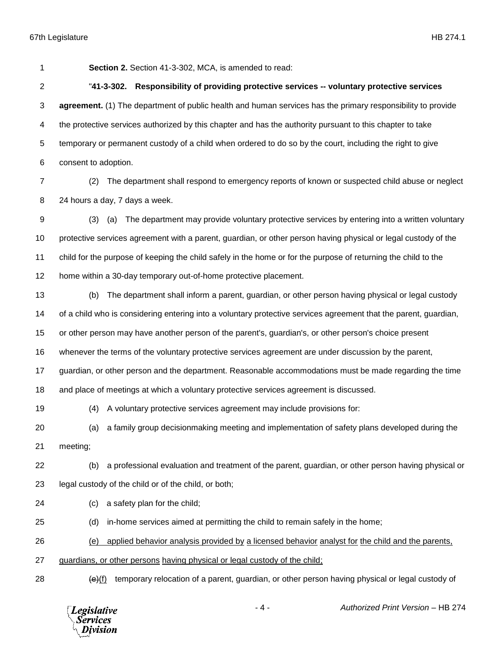**Section 2.** Section 41-3-302, MCA, is amended to read:

 "**41-3-302. Responsibility of providing protective services -- voluntary protective services agreement.** (1) The department of public health and human services has the primary responsibility to provide the protective services authorized by this chapter and has the authority pursuant to this chapter to take temporary or permanent custody of a child when ordered to do so by the court, including the right to give consent to adoption.

 (2) The department shall respond to emergency reports of known or suspected child abuse or neglect 24 hours a day, 7 days a week.

 (3) (a) The department may provide voluntary protective services by entering into a written voluntary protective services agreement with a parent, guardian, or other person having physical or legal custody of the child for the purpose of keeping the child safely in the home or for the purpose of returning the child to the home within a 30-day temporary out-of-home protective placement.

 (b) The department shall inform a parent, guardian, or other person having physical or legal custody of a child who is considering entering into a voluntary protective services agreement that the parent, guardian,

or other person may have another person of the parent's, guardian's, or other person's choice present

whenever the terms of the voluntary protective services agreement are under discussion by the parent,

guardian, or other person and the department. Reasonable accommodations must be made regarding the time

and place of meetings at which a voluntary protective services agreement is discussed.

(4) A voluntary protective services agreement may include provisions for:

(a) a family group decisionmaking meeting and implementation of safety plans developed during the

meeting;

- (b) a professional evaluation and treatment of the parent, guardian, or other person having physical or legal custody of the child or of the child, or both;
- (c) a safety plan for the child;
- (d) in-home services aimed at permitting the child to remain safely in the home;

(e) applied behavior analysis provided by a licensed behavior analyst for the child and the parents,

- guardians, or other persons having physical or legal custody of the child;
- 

28  $\left(\frac{e}{f}\right)$  temporary relocation of a parent, guardian, or other person having physical or legal custody of